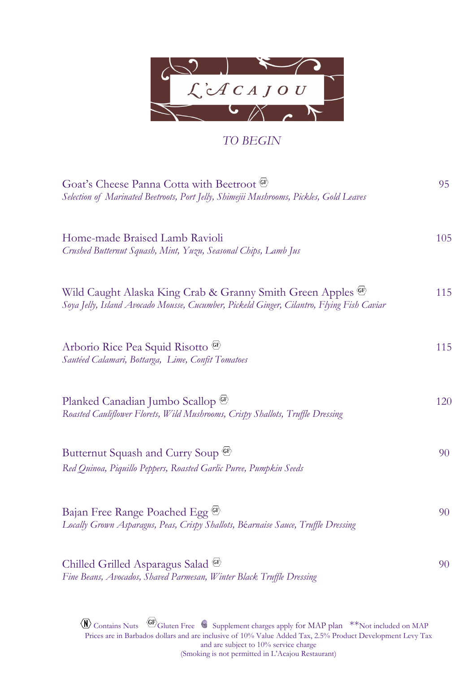

## *TO BEGIN*

| Goat's Cheese Panna Cotta with Beetroot CF<br>Selection of Marinated Beetroots, Port Jelly, Shimejii Mushrooms, Pickles, Gold Leaves                       | 95  |
|------------------------------------------------------------------------------------------------------------------------------------------------------------|-----|
| Home-made Braised Lamb Ravioli<br>Crushed Butternut Squash, Mint, Yuzu, Seasonal Chips, Lamb Jus                                                           | 105 |
| Wild Caught Alaska King Crab & Granny Smith Green Apples (SE)<br>Soya Jelly, Island Avocado Mousse, Cucumber, Pickeld Ginger, Cilantro, Flying Fish Caviar | 115 |
| Arborio Rice Pea Squid Risotto (GP)<br>Sautéed Calamari, Bottarga, Lime, Confit Tomatoes                                                                   | 115 |
| Planked Canadian Jumbo Scallop <sup>(GF)</sup><br>Roasted Cauliflower Florets, Wild Mushrooms, Crispy Shallots, Truffle Dressing                           | 120 |
| Butternut Squash and Curry Soup <sup>GF</sup><br>Red Quinoa, Piquillo Peppers, Roasted Garlic Puree, Pumpkin Seeds                                         | 90  |
| Bajan Free Range Poached Egg CF<br>Locally Grown Asparagus, Peas, Crispy Shallots, Béarnaise Sauce, Truffle Dressing                                       | 90  |
| Chilled Grilled Asparagus Salad (GF)<br>Fine Beans, Avocados, Shaved Parmesan, Winter Black Truffle Dressing                                               | 90  |

Contains Nuts  $\left\langle \text{GF} \right\rangle$  Gluten Free  $\left\langle \bullet \right\rangle$  Supplement charges apply for MAP plan  $\left\langle \text{F} \right\rangle$   $\left\langle \text{F} \right\rangle$  and  $\left\langle \text{F} \right\rangle$ Prices are in Barbados dollars and are inclusive of 10% Value Added Tax, 2.5% Product Development Levy Tax and are subject to 10% service charge (Smoking is not permitted in L'Acajou Restaurant)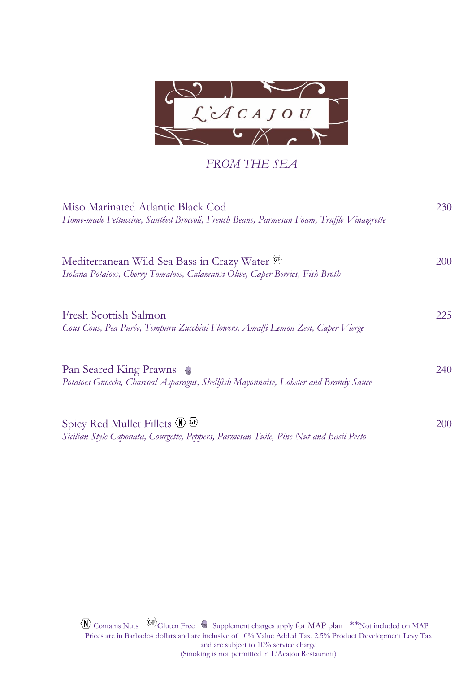

## *FROM THE SEA*

| Miso Marinated Atlantic Black Cod<br>Home-made Fettuccine, Sautéed Broccoli, French Beans, Parmesan Foam, Truffle Vinaigrette                             | 230        |
|-----------------------------------------------------------------------------------------------------------------------------------------------------------|------------|
| Mediterranean Wild Sea Bass in Crazy Water (SE)<br>Isolana Potatoes, Cherry Tomatoes, Calamansi Olive, Caper Berries, Fish Broth                          | 200        |
| <b>Fresh Scottish Salmon</b><br>Cous Cous, Pea Purée, Tempura Zucchini Flowers, Amalfi Lemon Zest, Caper Vierge                                           | 225        |
| Pan Seared King Prawns<br>Potatoes Gnocchi, Charcoal Asparagus, Shellfish Mayonnaise, Lobster and Brandy Sauce                                            | 240        |
| Spicy Red Mullet Fillets $\langle N \rangle$ $\langle F \rangle$<br>Sicilian Style Caponata, Courgette, Peppers, Parmesan Tuile, Pine Nut and Basil Pesto | <b>200</b> |

 $\langle \mathbf{N} \rangle$  Contains Nuts  $\langle \mathbf{G} \rangle$  Gluten Free  $\langle \mathbf{S} \rangle$  Supplement charges apply for MAP plan \*\*Not included on MAP Prices are in Barbados dollars and are inclusive of 10% Value Added Tax, 2.5% Product Development Levy Tax and are subject to 10% service charge (Smoking is not permitted in L'Acajou Restaurant)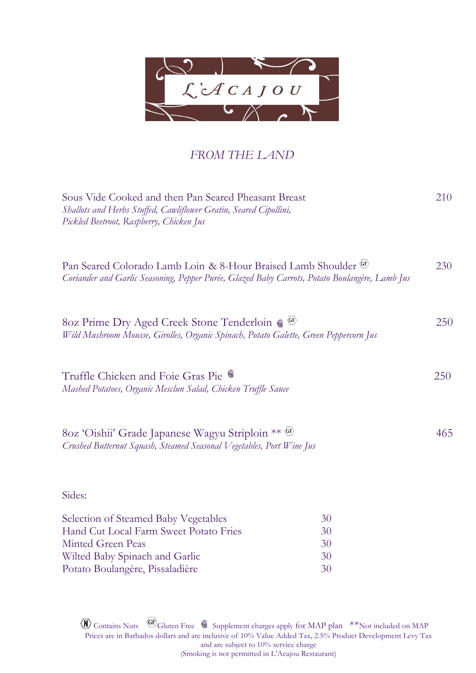

## *FROM THE LAND*

| Sous Vide Cooked and then Pan Seared Pheasant Breast<br>Shallots and Herbs Stuffed, Cawliflower Gratin, Seared Cipollini,<br>Pickled Beetroot, Raspberry, Chicken Jus |          | 210 |
|-----------------------------------------------------------------------------------------------------------------------------------------------------------------------|----------|-----|
| Pan Seared Colorado Lamb Loin & 8-Hour Braised Lamb Shoulder (GE)<br>Coriander and Garlic Seasoning, Pepper Purée, Glazed Baby Carrots, Potato Boulangère, Lamb Jus   |          | 230 |
| 80z Prime Dry Aged Creek Stone Tenderloin ( GF)<br>Wild Mushroom Mousse, Girolles, Organic Spinach, Potato Galette, Green Peppercorn Jus                              |          | 250 |
| Truffle Chicken and Foie Gras Pie<br>Mashed Potatoes, Organic Mesclun Salad, Chicken Truffle Sauce                                                                    |          | 250 |
| 80z 'Oishii' Grade Japanese Wagyu Striploin ** (st)<br>Crushed Butternut Squash, Steamed Seasonal Vegetables, Port Wine Jus                                           |          | 465 |
| Sides:                                                                                                                                                                |          |     |
| Selection of Steamed Baby Vegetables                                                                                                                                  | 30       |     |
| Hand Cut Local Farm Sweet Potato Fries                                                                                                                                | 30       |     |
| <b>Minted Green Peas</b>                                                                                                                                              | 30       |     |
| Wilted Baby Spinach and Garlic                                                                                                                                        | 30<br>30 |     |
| Potato Boulangère, Pissaladière                                                                                                                                       |          |     |

Contains Nuts  $\left\langle \text{GF} \right\rangle$  Gluten Free  $\left\langle \bullet \right\rangle$  Supplement charges apply for MAP plan  $\left\langle \text{F} \right\rangle$   $\left\langle \text{F} \right\rangle$  and  $\left\langle \text{F} \right\rangle$ Prices are in Barbados dollars and are inclusive of 10% Value Added Tax, 2.5% Product Development Levy Tax and are subject to 10% service charge (Smoking is not permitted in L'Acajou Restaurant)